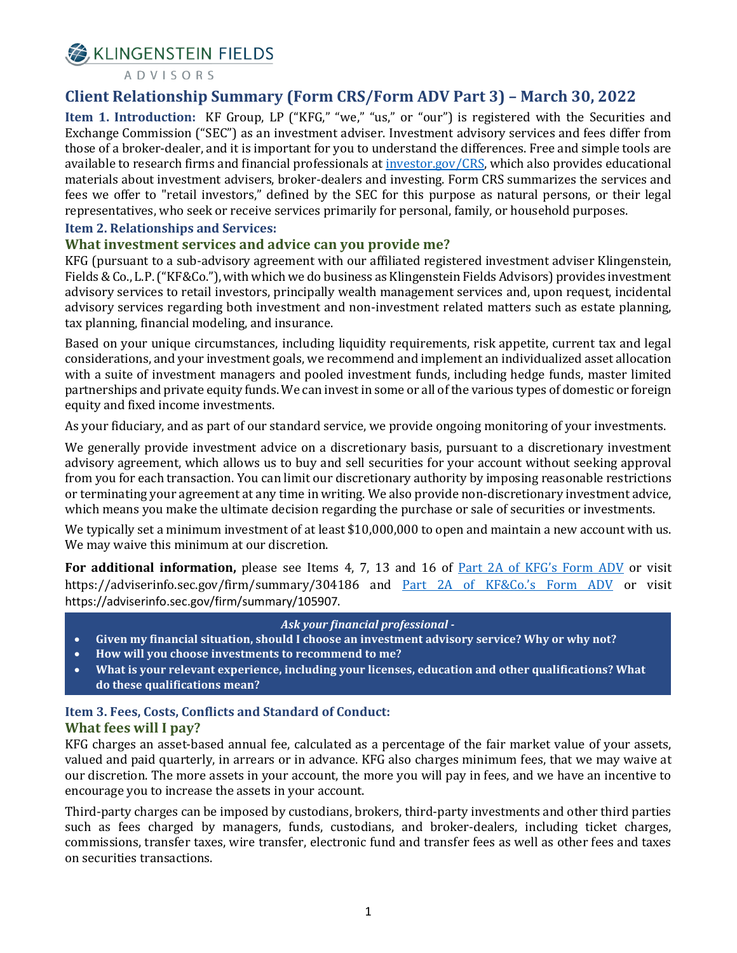**A KLINGENSTEIN FIELDS** 

**ADVISORS** 

# **Client Relationship Summary (Form CRS/Form ADV Part 3) – March 30, 2022**

**Item 1. Introduction:** KF Group, LP ("KFG," "we," "us," or "our") is registered with the Securities and Exchange Commission ("SEC") as an investment adviser. Investment advisory services and fees differ from those of a broker-dealer, and it is important for you to understand the differences. Free and simple tools are available to research firms and financial professionals a[t investor.gov/CRS,](https://www.investor.gov/home/welcome-investor-gov-crs) which also provides educational materials about investment advisers, broker-dealers and investing. Form CRS summarizes the services and fees we offer to "retail investors," defined by the SEC for this purpose as natural persons, or their legal representatives, who seek or receive services primarily for personal, family, or household purposes.

#### **Item 2. Relationships and Services:**

## **What investment services and advice can you provide me?**

KFG (pursuant to a sub-advisory agreement with our affiliated registered investment adviser Klingenstein, Fields & Co., L.P. ("KF&Co."), with which we do business as Klingenstein Fields Advisors) provides investment advisory services to retail investors, principally wealth management services and, upon request, incidental advisory services regarding both investment and non-investment related matters such as estate planning, tax planning, financial modeling, and insurance.

Based on your unique circumstances, including liquidity requirements, risk appetite, current tax and legal considerations, and your investment goals, we recommend and implement an individualized asset allocation with a suite of investment managers and pooled investment funds, including hedge funds, master limited partnerships and private equity funds. We can invest in some or all of the various types of domestic or foreign equity and fixed income investments.

As your fiduciary, and as part of our standard service, we provide ongoing monitoring of your investments.

We generally provide investment advice on a discretionary basis, pursuant to a discretionary investment advisory agreement, which allows us to buy and sell securities for your account without seeking approval from you for each transaction. You can limit our discretionary authority by imposing reasonable restrictions or terminating your agreement at any time in writing. We also provide non-discretionary investment advice, which means you make the ultimate decision regarding the purchase or sale of securities or investments.

We typically set a minimum investment of at least \$10,000,000 to open and maintain a new account with us. We may waive this minimum at our discretion.

For additional information, please see Items 4, 7, 13 and 16 of <u>[Part 2A of KFG's Form ADV](https://adviserinfo.sec.gov/firm/summary/304186)</u> or visit https://adviserinfo.sec.gov/firm/summary/304186 and [Part 2A of KF&Co.'s Form ADV](https://adviserinfo.sec.gov/firm/summary/105907) or visit https://adviserinfo.sec.gov/firm/summary/105907.

#### *Ask your financial professional -*

- **Given my financial situation, should I choose an investment advisory service? Why or why not?**
- **How will you choose investments to recommend to me?**
- **What is your relevant experience, including your licenses, education and other qualifications? What do these qualifications mean?**

## **Item 3. Fees, Costs, Conflicts and Standard of Conduct: What fees will I pay?**

KFG charges an asset-based annual fee, calculated as a percentage of the fair market value of your assets, valued and paid quarterly, in arrears or in advance. KFG also charges minimum fees, that we may waive at our discretion. The more assets in your account, the more you will pay in fees, and we have an incentive to encourage you to increase the assets in your account.

Third-party charges can be imposed by custodians, brokers, third-party investments and other third parties such as fees charged by managers, funds, custodians, and broker-dealers, including ticket charges, commissions, transfer taxes, wire transfer, electronic fund and transfer fees as well as other fees and taxes on securities transactions.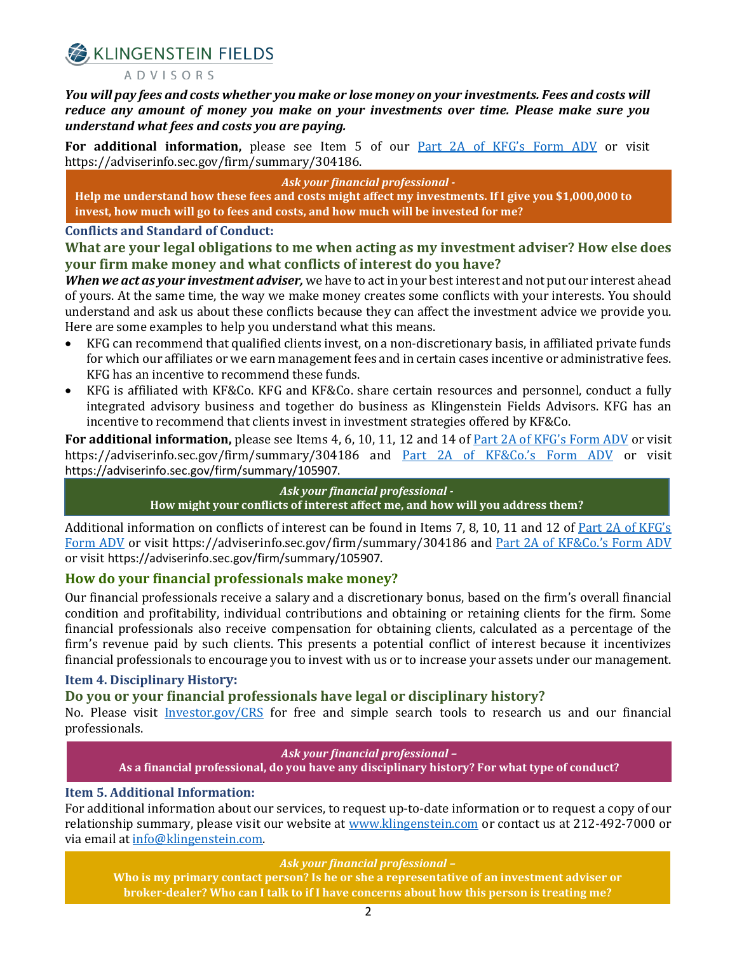**A KLINGENSTEIN FIELDS** 

#### **ADVISORS**

*You will pay fees and costs whether you make or lose money on your investments. Fees and costs will reduce any amount of money you make on your investments over time. Please make sure you understand what fees and costs you are paying.*

**For additional information,** please see Item 5 of our [Part 2A of KFG's Form ADV](https://adviserinfo.sec.gov/firm/summary/304186) or visit https://adviserinfo.sec.gov/firm/summary/304186.

*Ask your financial professional -*

**Help me understand how these fees and costs might affect my investments. If I give you \$1,000,000 to invest, how much will go to fees and costs, and how much will be invested for me?**

#### **Conflicts and Standard of Conduct:**

**What are your legal obligations to me when acting as my investment adviser? How else does your firm make money and what conflicts of interest do you have?**

*When we act as your investment adviser,* we have to act in your best interest and not put our interest ahead of yours. At the same time, the way we make money creates some conflicts with your interests. You should understand and ask us about these conflicts because they can affect the investment advice we provide you. Here are some examples to help you understand what this means.

- KFG can recommend that qualified clients invest, on a non-discretionary basis, in affiliated private funds for which our affiliates or we earn management fees and in certain cases incentive or administrative fees. KFG has an incentive to recommend these funds.
- KFG is affiliated with KF&Co. KFG and KF&Co. share certain resources and personnel, conduct a fully integrated advisory business and together do business as Klingenstein Fields Advisors. KFG has an incentive to recommend that clients invest in investment strategies offered by KF&Co.

**For additional information,** please see Items 4, 6, 10, 11, 12 and 14 of [Part 2A of KFG's Form ADV](https://adviserinfo.sec.gov/firm/summary/304186) or visit https://adviserinfo.sec.gov/firm/summary/304186 and [Part 2A of KF&Co.'s Form ADV](https://adviserinfo.sec.gov/firm/summary/105907) or visit https://adviserinfo.sec.gov/firm/summary/105907.

#### *Ask your financial professional -*

## **How might your conflicts of interest affect me, and how will you address them?**

Additional information on conflicts of interest can be found in Items 7, 8, 10, 11 and 12 of [Part 2A of KFG's](https://adviserinfo.sec.gov/firm/summary/304186)  [Form ADV](https://adviserinfo.sec.gov/firm/summary/304186) or visit https://adviserinfo.sec.gov/firm/summary/304186 and [Part 2A of KF&Co.'s Form ADV](https://adviserinfo.sec.gov/firm/summary/105907) or visit https://adviserinfo.sec.gov/firm/summary/105907.

## **How do your financial professionals make money?**

Our financial professionals receive a salary and a discretionary bonus, based on the firm's overall financial condition and profitability, individual contributions and obtaining or retaining clients for the firm. Some financial professionals also receive compensation for obtaining clients, calculated as a percentage of the firm's revenue paid by such clients. This presents a potential conflict of interest because it incentivizes financial professionals to encourage you to invest with us or to increase your assets under our management.

## **Item 4. Disciplinary History:**

**Do you or your financial professionals have legal or disciplinary history?**

No. Please visit **[Investor.gov/CRS](https://www.investor.gov/home/welcome-investor-gov-crs)** for free and simple search tools to research us and our financial professionals.

*Ask your financial professional –*

**As a financial professional, do you have any disciplinary history? For what type of conduct?**

#### **Item 5. Additional Information:**

For additional information about our services, to request up-to-date information or to request a copy of our relationship summary, please visit our website at [www.klingenstein.com](http://www.klingenstein.com/) or contact us at 212-492-7000 or via email a[t info@klingenstein.com.](mailto:info@klingenstein.com) 

#### *Ask your financial professional –*

**Who is my primary contact person? Is he or she a representative of an investment adviser or broker-dealer? Who can I talk to if I have concerns about how this person is treating me?**